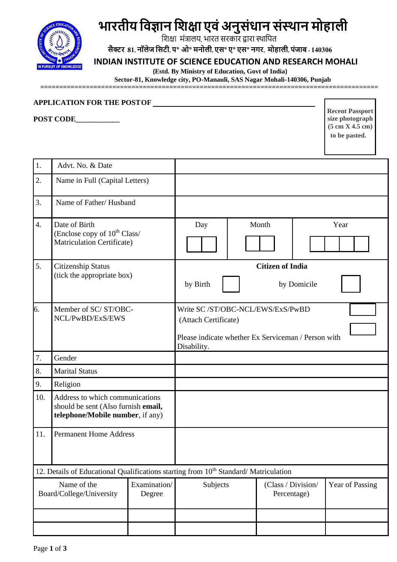

# **भारतीय विज्ञान विक्षा एिंअनुसंधान संस्थान मोहाली**

शिक्षा मंत्रालय, भारत सरकार द्वारा स्थाशित

सैक्टर 81, नॉलेज सिटी, प° ओ° मनोली, एस° ए° एस° नगर, मोहाली, पंजाब - 140306

## **INDIAN INSTITUTE OF SCIENCE EDUCATION AND RESEARCH MOHALI**

 **(Estd. By Ministry of Education, Govt of India)** 

 **Sector-81, Knowledge city, PO-Manauli, SAS Nagar Mohali-140306, Punjab**

**=========================================================================================**

#### **APPLICATION FOR THE POSTOF**

**POST CODE\_\_\_\_\_\_\_\_\_\_\_\_**

**Recent Passport size photograph (5 cm X 4.5 cm) to be pasted.**

| 1.                                                                                              | Advt. No. & Date                                                                                           |                         |                                                                                                                 |      |  |  |                 |  |  |
|-------------------------------------------------------------------------------------------------|------------------------------------------------------------------------------------------------------------|-------------------------|-----------------------------------------------------------------------------------------------------------------|------|--|--|-----------------|--|--|
| 2.                                                                                              | Name in Full (Capital Letters)                                                                             |                         |                                                                                                                 |      |  |  |                 |  |  |
| 3.                                                                                              | Name of Father/Husband                                                                                     |                         |                                                                                                                 |      |  |  |                 |  |  |
| $\overline{4}$ .                                                                                | Date of Birth<br>(Enclose copy of 10 <sup>th</sup> Class/<br>Matriculation Certificate)                    |                         | Day                                                                                                             | Year |  |  |                 |  |  |
| 5.                                                                                              | <b>Citizenship Status</b><br>(tick the appropriate box)                                                    |                         | <b>Citizen of India</b>                                                                                         |      |  |  |                 |  |  |
|                                                                                                 |                                                                                                            | by Birth<br>by Domicile |                                                                                                                 |      |  |  |                 |  |  |
| 6.                                                                                              | Member of SC/ST/OBC-<br>NCL/PwBD/ExS/EWS                                                                   |                         | Write SC/ST/OBC-NCL/EWS/ExS/PwBD<br>(Attach Certificate)<br>Please indicate whether Ex Serviceman / Person with |      |  |  |                 |  |  |
|                                                                                                 |                                                                                                            |                         | Disability.                                                                                                     |      |  |  |                 |  |  |
| 7.                                                                                              | Gender                                                                                                     |                         |                                                                                                                 |      |  |  |                 |  |  |
| 8.                                                                                              | <b>Marital Status</b>                                                                                      |                         |                                                                                                                 |      |  |  |                 |  |  |
| 9.                                                                                              | Religion                                                                                                   |                         |                                                                                                                 |      |  |  |                 |  |  |
| 10.                                                                                             | Address to which communications<br>should be sent (Also furnish email,<br>telephone/Mobile number, if any) |                         |                                                                                                                 |      |  |  |                 |  |  |
| 11.                                                                                             | <b>Permanent Home Address</b>                                                                              |                         |                                                                                                                 |      |  |  |                 |  |  |
| 12. Details of Educational Qualifications starting from 10 <sup>th</sup> Standard/Matriculation |                                                                                                            |                         |                                                                                                                 |      |  |  |                 |  |  |
| Examination/<br>Name of the<br>Board/College/University<br>Degree                               |                                                                                                            |                         | (Class / Division/<br>Subjects<br>Percentage)                                                                   |      |  |  | Year of Passing |  |  |
|                                                                                                 |                                                                                                            |                         |                                                                                                                 |      |  |  |                 |  |  |
|                                                                                                 |                                                                                                            |                         |                                                                                                                 |      |  |  |                 |  |  |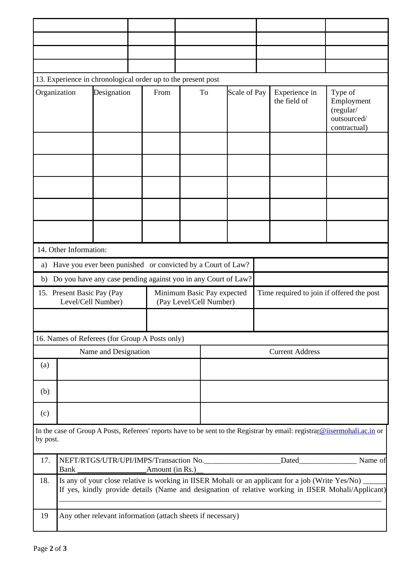| 13. Experience in chronological order up to the present post                                                                          |                                                                                                                                                                                                             |                                                               |  |      |                                                       |                        |              |                                           |                               |                                                                   |  |
|---------------------------------------------------------------------------------------------------------------------------------------|-------------------------------------------------------------------------------------------------------------------------------------------------------------------------------------------------------------|---------------------------------------------------------------|--|------|-------------------------------------------------------|------------------------|--------------|-------------------------------------------|-------------------------------|-------------------------------------------------------------------|--|
| Organization                                                                                                                          |                                                                                                                                                                                                             | Designation                                                   |  | From |                                                       | To                     | Scale of Pay |                                           | Experience in<br>the field of | Type of<br>Employment<br>(regular/<br>outsourced/<br>contractual) |  |
|                                                                                                                                       |                                                                                                                                                                                                             |                                                               |  |      |                                                       |                        |              |                                           |                               |                                                                   |  |
|                                                                                                                                       |                                                                                                                                                                                                             |                                                               |  |      |                                                       |                        |              |                                           |                               |                                                                   |  |
|                                                                                                                                       |                                                                                                                                                                                                             |                                                               |  |      |                                                       |                        |              |                                           |                               |                                                                   |  |
|                                                                                                                                       |                                                                                                                                                                                                             |                                                               |  |      |                                                       |                        |              |                                           |                               |                                                                   |  |
|                                                                                                                                       |                                                                                                                                                                                                             |                                                               |  |      |                                                       |                        |              |                                           |                               |                                                                   |  |
| 14. Other Information:                                                                                                                |                                                                                                                                                                                                             |                                                               |  |      |                                                       |                        |              |                                           |                               |                                                                   |  |
| a)                                                                                                                                    |                                                                                                                                                                                                             | Have you ever been punished or convicted by a Court of Law?   |  |      |                                                       |                        |              |                                           |                               |                                                                   |  |
| b)                                                                                                                                    |                                                                                                                                                                                                             | Do you have any case pending against you in any Court of Law? |  |      |                                                       |                        |              |                                           |                               |                                                                   |  |
| 15. Present Basic Pay (Pay<br>Level/Cell Number)                                                                                      |                                                                                                                                                                                                             |                                                               |  |      | Minimum Basic Pay expected<br>(Pay Level/Cell Number) |                        |              | Time required to join if offered the post |                               |                                                                   |  |
|                                                                                                                                       |                                                                                                                                                                                                             |                                                               |  |      |                                                       |                        |              |                                           |                               |                                                                   |  |
|                                                                                                                                       |                                                                                                                                                                                                             | 16. Names of Referees (for Group A Posts only)                |  |      |                                                       |                        |              |                                           |                               |                                                                   |  |
| Name and Designation                                                                                                                  |                                                                                                                                                                                                             |                                                               |  |      |                                                       | <b>Current Address</b> |              |                                           |                               |                                                                   |  |
| (a)                                                                                                                                   |                                                                                                                                                                                                             |                                                               |  |      |                                                       |                        |              |                                           |                               |                                                                   |  |
| (b)                                                                                                                                   |                                                                                                                                                                                                             |                                                               |  |      |                                                       |                        |              |                                           |                               |                                                                   |  |
| (c)                                                                                                                                   |                                                                                                                                                                                                             |                                                               |  |      |                                                       |                        |              |                                           |                               |                                                                   |  |
| In the case of Group A Posts, Referees' reports have to be sent to the Registrar by email: registrar@iisermohali.ac.in or<br>by post. |                                                                                                                                                                                                             |                                                               |  |      |                                                       |                        |              |                                           |                               |                                                                   |  |
| 17.                                                                                                                                   | NEFT/RTGS/UTR/UPI/IMPS/Transaction No.______________________Dated________________ Name of                                                                                                                   |                                                               |  |      |                                                       |                        |              |                                           |                               |                                                                   |  |
| 18.                                                                                                                                   | Is any of your close relative is working in IISER Mohali or an applicant for a job (Write Yes/No) __<br>If yes, kindly provide details (Name and designation of relative working in IISER Mohali/Applicant) |                                                               |  |      |                                                       |                        |              |                                           |                               |                                                                   |  |
| 19                                                                                                                                    | Any other relevant information (attach sheets if necessary)                                                                                                                                                 |                                                               |  |      |                                                       |                        |              |                                           |                               |                                                                   |  |